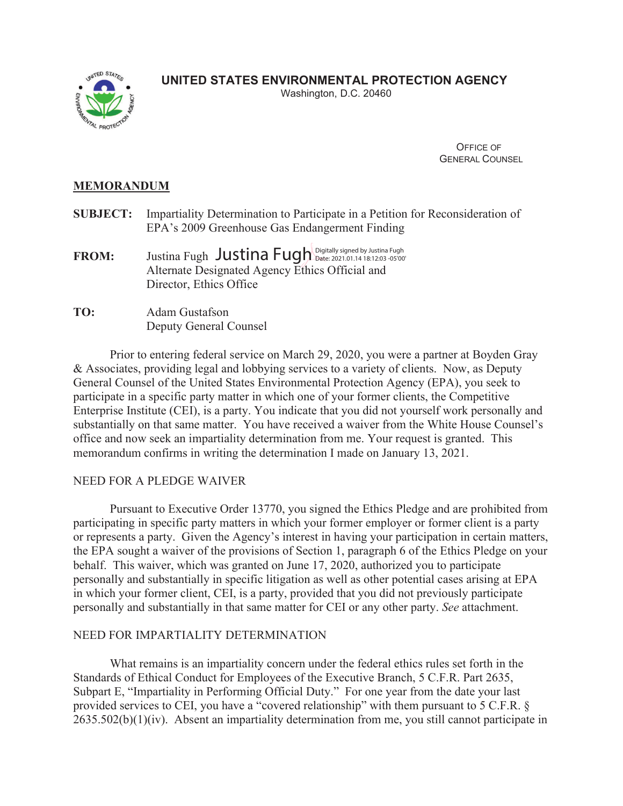# **UNITED STATES ENVIRONMENTAL PROTECTION AGENCY** Washington, D.C. 20460



 OFFICE OF GENERAL COUNSEL

## **MEMORANDUM**

- **SUBJECT:** Impartiality Determination to Participate in a Petition for Reconsideration of EPA's 2009 Greenhouse Gas Endangerment Finding
- $\mathbf{FROM:} \qquad \text{Justina Fugh } \mathbf{J}$ ustina  $\text{Fugh } \mathbf{J}$ ustina  $\mathsf{Fugh }$  Digitally signed by Justina Fugh Alternate Designated Agency Ethics Official and Director, Ethics Office
- **TO:** Adam Gustafson Deputy General Counsel

Prior to entering federal service on March 29, 2020, you were a partner at Boyden Gray & Associates, providing legal and lobbying services to a variety of clients. Now, as Deputy General Counsel of the United States Environmental Protection Agency (EPA), you seek to participate in a specific party matter in which one of your former clients, the Competitive Enterprise Institute (CEI), is a party. You indicate that you did not yourself work personally and substantially on that same matter. You have received a waiver from the White House Counsel's office and now seek an impartiality determination from me. Your request is granted. This memorandum confirms in writing the determination I made on January 13, 2021.

### NEED FOR A PLEDGE WAIVER

Pursuant to Executive Order 13770, you signed the Ethics Pledge and are prohibited from participating in specific party matters in which your former employer or former client is a party or represents a party. Given the Agency's interest in having your participation in certain matters, the EPA sought a waiver of the provisions of Section 1, paragraph 6 of the Ethics Pledge on your behalf. This waiver, which was granted on June 17, 2020, authorized you to participate personally and substantially in specific litigation as well as other potential cases arising at EPA in which your former client, CEI, is a party, provided that you did not previously participate personally and substantially in that same matter for CEI or any other party. *See* attachment.

### NEED FOR IMPARTIALITY DETERMINATION

 What remains is an impartiality concern under the federal ethics rules set forth in the Standards of Ethical Conduct for Employees of the Executive Branch, 5 C.F.R. Part 2635, Subpart E, "Impartiality in Performing Official Duty." For one year from the date your last provided services to CEI, you have a "covered relationship" with them pursuant to 5 C.F.R. § 2635.502(b)(1)(iv). Absent an impartiality determination from me, you still cannot participate in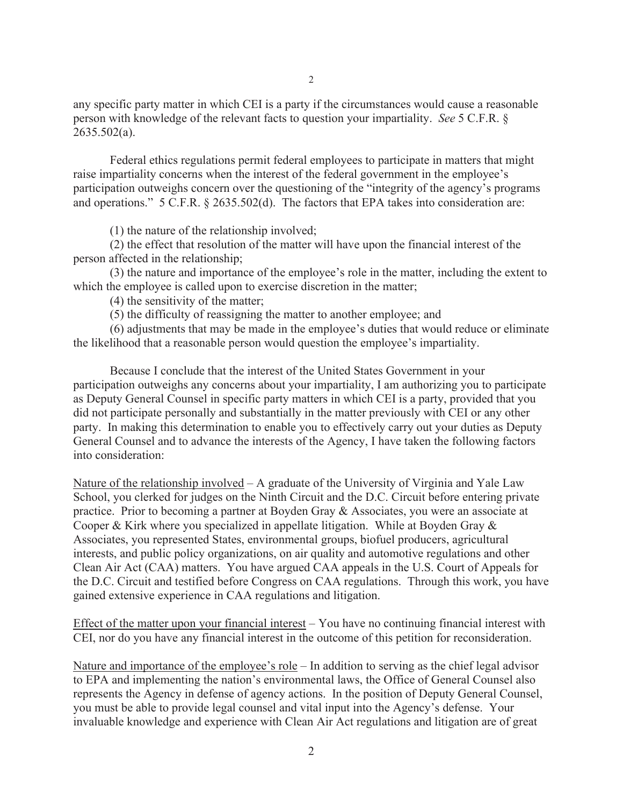any specific party matter in which CEI is a party if the circumstances would cause a reasonable person with knowledge of the relevant facts to question your impartiality. *See* 5 C.F.R. § 2635.502(a).

Federal ethics regulations permit federal employees to participate in matters that might raise impartiality concerns when the interest of the federal government in the employee's participation outweighs concern over the questioning of the "integrity of the agency's programs and operations." 5 C.F.R. § 2635.502(d). The factors that EPA takes into consideration are:

(1) the nature of the relationship involved;

 (2) the effect that resolution of the matter will have upon the financial interest of the person affected in the relationship;

 (3) the nature and importance of the employee's role in the matter, including the extent to which the employee is called upon to exercise discretion in the matter;

(4) the sensitivity of the matter;

(5) the difficulty of reassigning the matter to another employee; and

 (6) adjustments that may be made in the employee's duties that would reduce or eliminate the likelihood that a reasonable person would question the employee's impartiality.

 Because I conclude that the interest of the United States Government in your participation outweighs any concerns about your impartiality, I am authorizing you to participate as Deputy General Counsel in specific party matters in which CEI is a party, provided that you did not participate personally and substantially in the matter previously with CEI or any other party. In making this determination to enable you to effectively carry out your duties as Deputy General Counsel and to advance the interests of the Agency, I have taken the following factors into consideration:

Nature of the relationship involved – A graduate of the University of Virginia and Yale Law School, you clerked for judges on the Ninth Circuit and the D.C. Circuit before entering private practice. Prior to becoming a partner at Boyden Gray & Associates, you were an associate at Cooper & Kirk where you specialized in appellate litigation. While at Boyden Gray & Associates, you represented States, environmental groups, biofuel producers, agricultural interests, and public policy organizations, on air quality and automotive regulations and other Clean Air Act (CAA) matters. You have argued CAA appeals in the U.S. Court of Appeals for the D.C. Circuit and testified before Congress on CAA regulations. Through this work, you have gained extensive experience in CAA regulations and litigation.

Effect of the matter upon your financial interest – You have no continuing financial interest with CEI, nor do you have any financial interest in the outcome of this petition for reconsideration.

Nature and importance of the employee's role – In addition to serving as the chief legal advisor to EPA and implementing the nation's environmental laws, the Office of General Counsel also represents the Agency in defense of agency actions. In the position of Deputy General Counsel, you must be able to provide legal counsel and vital input into the Agency's defense. Your invaluable knowledge and experience with Clean Air Act regulations and litigation are of great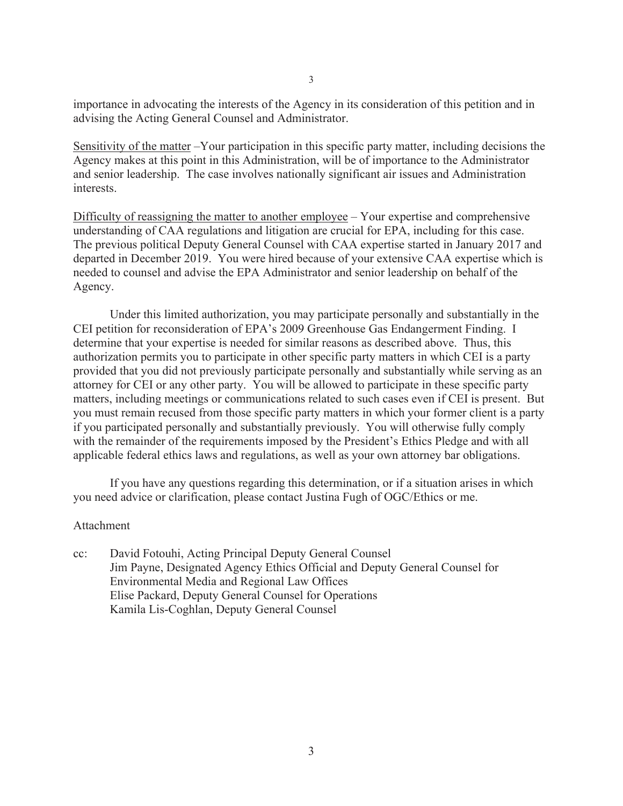importance in advocating the interests of the Agency in its consideration of this petition and in advising the Acting General Counsel and Administrator.

Sensitivity of the matter –Your participation in this specific party matter, including decisions the Agency makes at this point in this Administration, will be of importance to the Administrator and senior leadership. The case involves nationally significant air issues and Administration interests.

Difficulty of reassigning the matter to another employee – Your expertise and comprehensive understanding of CAA regulations and litigation are crucial for EPA, including for this case. The previous political Deputy General Counsel with CAA expertise started in January 2017 and departed in December 2019. You were hired because of your extensive CAA expertise which is needed to counsel and advise the EPA Administrator and senior leadership on behalf of the Agency.

 Under this limited authorization, you may participate personally and substantially in the CEI petition for reconsideration of EPA's 2009 Greenhouse Gas Endangerment Finding. I determine that your expertise is needed for similar reasons as described above. Thus, this authorization permits you to participate in other specific party matters in which CEI is a party provided that you did not previously participate personally and substantially while serving as an attorney for CEI or any other party. You will be allowed to participate in these specific party matters, including meetings or communications related to such cases even if CEI is present. But you must remain recused from those specific party matters in which your former client is a party if you participated personally and substantially previously. You will otherwise fully comply with the remainder of the requirements imposed by the President's Ethics Pledge and with all applicable federal ethics laws and regulations, as well as your own attorney bar obligations.

If you have any questions regarding this determination, or if a situation arises in which you need advice or clarification, please contact Justina Fugh of OGC/Ethics or me.

#### Attachment

cc: David Fotouhi, Acting Principal Deputy General Counsel Jim Payne, Designated Agency Ethics Official and Deputy General Counsel for Environmental Media and Regional Law Offices Elise Packard, Deputy General Counsel for Operations Kamila Lis-Coghlan, Deputy General Counsel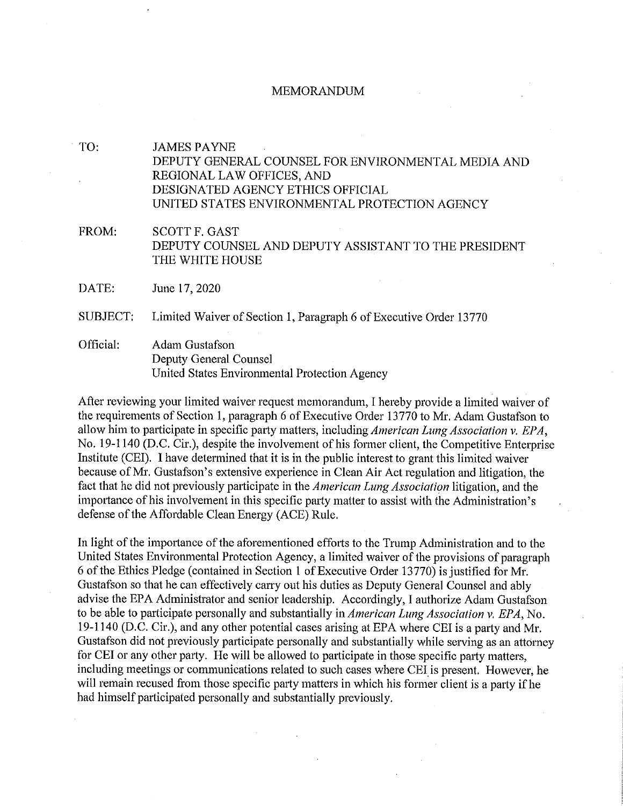#### **MEMORANDUM**

**JAMES PAYNE** DEPUTY GENERAL COUNSEL FOR ENVIRONMENTAL MEDIA AND REGIONAL LAW OFFICES, AND DESIGNATED AGENCY ETHICS OFFICIAL UNITED STATES ENVIRONMENTAL PROTECTION AGENCY FROM: **SCOTT F. GAST** DEPUTY COUNSEL AND DEPUTY ASSISTANT TO THE PRESIDENT

DATE: June 17, 2020

SUBJECT: Limited Waiver of Section 1, Paragraph 6 of Executive Order 13770

Official: Adam Gustafson Deputy General Counsel United States Environmental Protection Agency

THE WHITE HOUSE

After reviewing your limited waiver request memorandum, I hereby provide a limited waiver of the requirements of Section 1, paragraph 6 of Executive Order 13770 to Mr. Adam Gustafson to allow him to participate in specific party matters, including American Lung Association v. EPA, No. 19-1140 (D.C. Cir.), despite the involvement of his former client, the Competitive Enterprise Institute (CEI). I have determined that it is in the public interest to grant this limited waiver because of Mr. Gustafson's extensive experience in Clean Air Act regulation and litigation, the fact that he did not previously participate in the *American Lung Association* litigation, and the importance of his involvement in this specific party matter to assist with the Administration's defense of the Affordable Clean Energy (ACE) Rule.

In light of the importance of the aforementioned efforts to the Trump Administration and to the United States Environmental Protection Agency, a limited waiver of the provisions of paragraph 6 of the Ethics Pledge (contained in Section 1 of Executive Order 13770) is justified for Mr. Gustafson so that he can effectively carry out his duties as Deputy General Counsel and ably advise the EPA Administrator and senior leadership. Accordingly, I authorize Adam Gustafson to be able to participate personally and substantially in *American Lung Association y. EPA*, No. 19-1140 (D.C. Cir.), and any other potential cases arising at EPA where CEI is a party and Mr. Gustafson did not previously participate personally and substantially while serving as an attorney for CEI or any other party. He will be allowed to participate in those specific party matters, including meetings or communications related to such cases where CEI is present. However, he will remain recused from those specific party matters in which his former client is a party if he had himself participated personally and substantially previously.

TO: